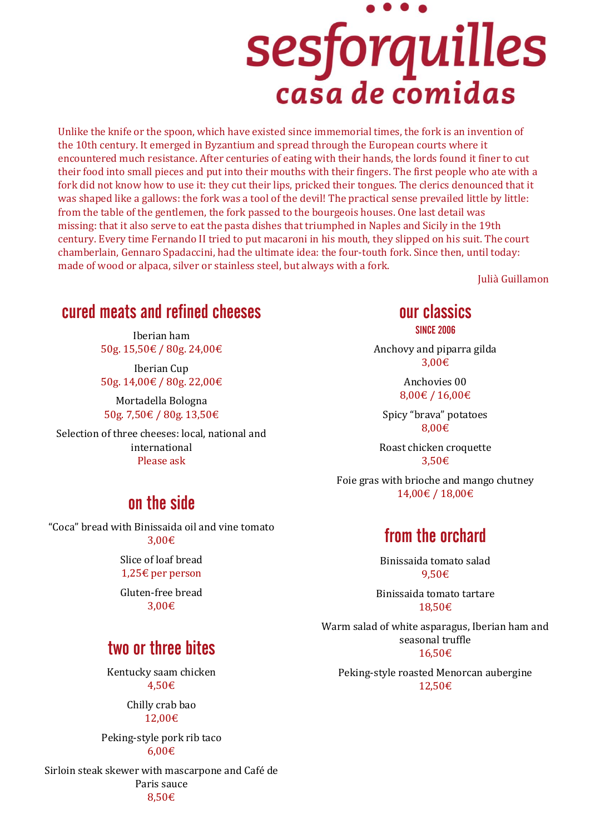# sesforquilles casa de comidas

Unlike the knife or the spoon, which have existed since immemorial times, the fork is an invention of the 10th century. It emerged in Byzantium and spread through the European courts where it encountered much resistance. After centuries of eating with their hands, the lords found it finer to cut their food into small pieces and put into their mouths with their fingers. The first people who ate with a fork did not know how to use it: they cut their lips, pricked their tongues. The clerics denounced that it was shaped like a gallows: the fork was a tool of the devil! The practical sense prevailed little by little: from the table of the gentlemen, the fork passed to the bourgeois houses. One last detail was missing: that it also serve to eat the pasta dishes that triumphed in Naples and Sicily in the 19th century. Every time Fernando II tried to put macaroni in his mouth, they slipped on his suit. The court chamberlain, Gennaro Spadaccini, had the ultimate idea: the four-touth fork. Since then, until today: made of wood or alpaca, silver or stainless steel, but always with a fork.

Julià Guillamon

### cured meats and refined cheeses

Iberian ham 50g. 15,50€ / 80g. 24,00€

Iberian Cup 50g. 14,00€ / 80g. 22,00€

Mortadella Bologna 50g. 7,50€ / 80g. 13,50€

Selection of three cheeses: local, national and international Please ask

#### on the side

"Coca" bread with Binissaida oil and vine tomato 3,00€

> Slice of loaf bread 1,25€ per person

> Gluten-free bread 3,00€

# two or three bites

Kentucky saam chicken 4,50€

> Chilly crab bao 12,00€

Peking-style pork rib taco 6,00€

Sirloin steak skewer with mascarpone and Café de Paris sauce 8,50€

### our classics

SINCE 2006

Anchovy and piparra gilda 3,00€

> Anchovies 00 8,00€ / 16,00€

Spicy "brava" potatoes 8,00€

Roast chicken croquette 3,50€

Foie gras with brioche and mango chutney 14,00€ / 18,00€

# from the orchard

Binissaida tomato salad 9,50€

Binissaida tomato tartare 18,50€

Warm salad of white asparagus, Iberian ham and seasonal truffle 16,50€

Peking-style roasted Menorcan aubergine 12,50€